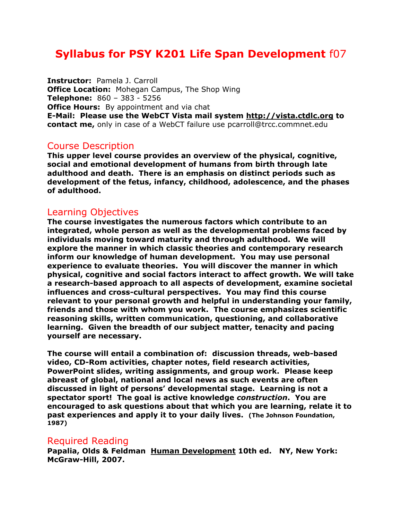# **Syllabus for PSY K201 Life Span Development** f07

**Instructor:** Pamela J. Carroll **Office Location:** Mohegan Campus, The Shop Wing **Telephone:** 860 – 383 - 5256 **Office Hours:** By appointment and via chat **E-Mail: Please use the WebCT Vista mail system [http://vista.ctdlc.org](http://vista.ctdlc.org/) to contact me,** only in case of a WebCT failure use [pcarroll@trcc.commnet.](mailto:pcarroll@trcc.commnet)edu

#### Course Description

**This upper level course provides an overview of the physical, cognitive, social and emotional development of humans from birth through late adulthood and death. There is an emphasis on distinct periods such as development of the fetus, infancy, childhood, adolescence, and the phases of adulthood.**

## Learning Objectives

**The course investigates the numerous factors which contribute to an integrated, whole person as well as the developmental problems faced by individuals moving toward maturity and through adulthood. We will explore the manner in which classic theories and contemporary research inform our knowledge of human development. You may use personal experience to evaluate theories. You will discover the manner in which physical, cognitive and social factors interact to affect growth. We will take a research-based approach to all aspects of development, examine societal influences and cross-cultural perspectives. You may find this course relevant to your personal growth and helpful in understanding your family, friends and those with whom you work. The course emphasizes scientific reasoning skills, written communication, questioning, and collaborative learning. Given the breadth of our subject matter, tenacity and pacing yourself are necessary.**

**The course will entail a combination of: discussion threads, web-based video, CD-Rom activities, chapter notes, field research activities, PowerPoint slides, writing assignments, and group work. Please keep abreast of global, national and local news as such events are often discussed in light of persons' developmental stage. Learning is not a spectator sport! The goal is active knowledge** *construction***. You are encouraged to ask questions about that which you are learning, relate it to past experiences and apply it to your daily lives. (The Johnson Foundation, 1987)** 

## Required Reading

**Papalia, Olds & Feldman Human Development 10th ed. NY, New York: McGraw-Hill, 2007.**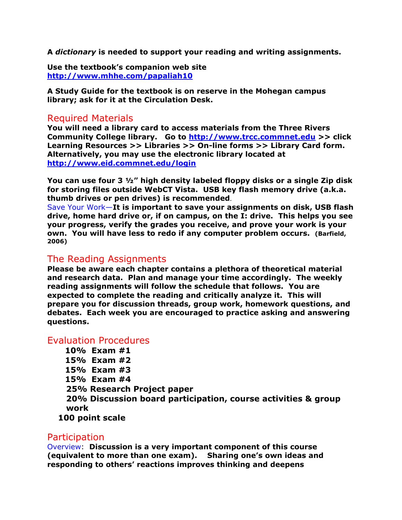**A** *dictionary* **is needed to support your reading and writing assignments.**

**Use the textbook's companion web site <http://www.mhhe.com/papaliah10>**

**A Study Guide for the textbook is on reserve in the Mohegan campus library; ask for it at the Circulation Desk.** 

## Required Materials

**You will need a library card to access materials from the Three Rivers Community College library. Go to [http://www.trcc.commnet.edu](http://www.trcc.commnet.edu/) >> click Learning Resources >> Libraries >> On-line forms >> Library Card form. Alternatively, you may use the electronic library located at <http://www.eid.commnet.edu/login>**

**You can use four 3 ½" high density labeled floppy disks or a single Zip disk for storing files outside WebCT Vista. USB key flash memory drive (a.k.a. thumb drives or pen drives) is recommended**.

Save Your Work—**It is important to save your assignments on disk, USB flash drive, home hard drive or, if on campus, on the I: drive. This helps you see your progress, verify the grades you receive, and prove your work is your own. You will have less to redo if any computer problem occurs. (Barfield, 2006)**

## The Reading Assignments

**Please be aware each chapter contains a plethora of theoretical material and research data. Plan and manage your time accordingly. The weekly reading assignments will follow the schedule that follows. You are expected to complete the reading and critically analyze it. This will prepare you for discussion threads, group work, homework questions, and debates. Each week you are encouraged to practice asking and answering questions.** 

#### Evaluation Procedures

**10% Exam #1 15% Exam #2 15% Exam #3 15% Exam #4 25% Research Project paper 20% Discussion board participation, course activities & group work 100 point scale**

#### **Participation**

Overview: **Discussion is a very important component of this course (equivalent to more than one exam). Sharing one's own ideas and responding to others' reactions improves thinking and deepens**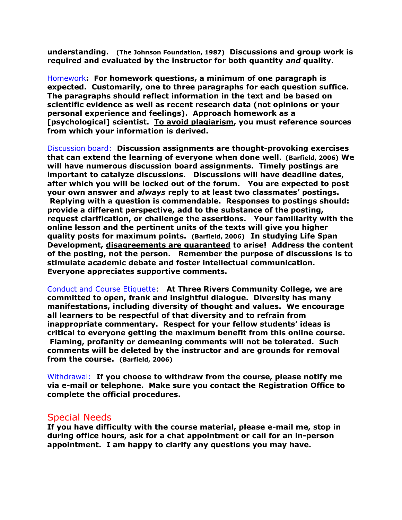**understanding. (The Johnson Foundation, 1987) Discussions and group work is required and evaluated by the instructor for both quantity** *and* **quality.**

Homework**: For homework questions, a minimum of one paragraph is expected. Customarily, one to three paragraphs for each question suffice. The paragraphs should reflect information in the text and be based on scientific evidence as well as recent research data (not opinions or your personal experience and feelings). Approach homework as a [psychological] scientist. To avoid plagiarism, you must reference sources from which your information is derived.**

Discussion board: **Discussion assignments are thought-provoking exercises that can extend the learning of everyone when done well. (Barfield, 2006) We will have numerous discussion board assignments. Timely postings are important to catalyze discussions. Discussions will have deadline dates, after which you will be locked out of the forum. You are expected to post your own answer and** *always* **reply to at least two classmates' postings. Replying with a question is commendable. Responses to postings should: provide a different perspective, add to the substance of the posting, request clarification, or challenge the assertions. Your familiarity with the online lesson and the pertinent units of the texts will give you higher quality posts for maximum points. (Barfield, 2006) In studying Life Span Development, disagreements are guaranteed to arise! Address the content of the posting, not the person. Remember the purpose of discussions is to stimulate academic debate and foster intellectual communication. Everyone appreciates supportive comments.** 

Conduct and Course Etiquette: **At Three Rivers Community College, we are committed to open, frank and insightful dialogue. Diversity has many manifestations, including diversity of thought and values. We encourage all learners to be respectful of that diversity and to refrain from inappropriate commentary. Respect for your fellow students' ideas is critical to everyone getting the maximum benefit from this online course. Flaming, profanity or demeaning comments will not be tolerated. Such comments will be deleted by the instructor and are grounds for removal from the course. (Barfield, 2006)**

Withdrawal: **If you choose to withdraw from the course, please notify me via e-mail or telephone. Make sure you contact the Registration Office to complete the official procedures.**

#### Special Needs

**If you have difficulty with the course material, please e-mail me, stop in during office hours, ask for a chat appointment or call for an in-person appointment. I am happy to clarify any questions you may have.**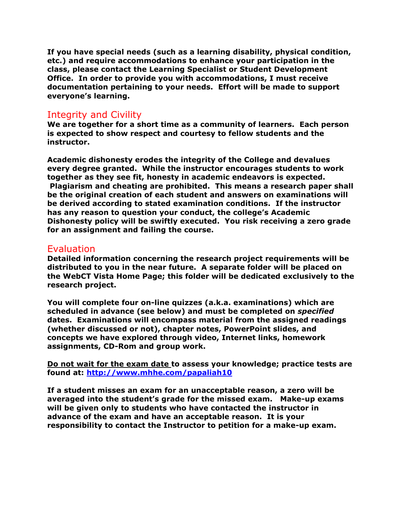**If you have special needs (such as a learning disability, physical condition, etc.) and require accommodations to enhance your participation in the class, please contact the Learning Specialist or Student Development Office. In order to provide you with accommodations, I must receive documentation pertaining to your needs. Effort will be made to support everyone's learning.**

## Integrity and Civility

**We are together for a short time as a community of learners. Each person is expected to show respect and courtesy to fellow students and the instructor.**

**Academic dishonesty erodes the integrity of the College and devalues every degree granted. While the instructor encourages students to work together as they see fit, honesty in academic endeavors is expected. Plagiarism and cheating are prohibited. This means a research paper shall be the original creation of each student and answers on examinations will be derived according to stated examination conditions. If the instructor has any reason to question your conduct, the college's Academic Dishonesty policy will be swiftly executed. You risk receiving a zero grade for an assignment and failing the course.** 

#### Evaluation

**Detailed information concerning the research project requirements will be distributed to you in the near future. A separate folder will be placed on the WebCT Vista Home Page; this folder will be dedicated exclusively to the research project.**

**You will complete four on-line quizzes (a.k.a. examinations) which are scheduled in advance (see below) and must be completed on** *specified* **dates. Examinations will encompass material from the assigned readings (whether discussed or not), chapter notes, PowerPoint slides, and concepts we have explored through video, Internet links, homework assignments, CD-Rom and group work.**

**Do not wait for the exam date to assess your knowledge; practice tests are found at: <http://www.mhhe.com/papaliah10>**

**If a student misses an exam for an unacceptable reason, a zero will be averaged into the student's grade for the missed exam. Make-up exams will be given only to students who have contacted the instructor in advance of the exam and have an acceptable reason. It is your responsibility to contact the Instructor to petition for a make-up exam.**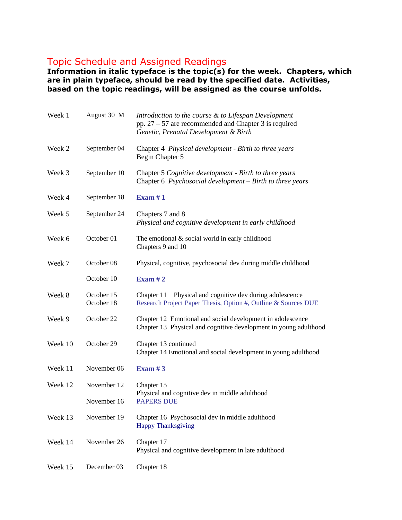## Topic Schedule and Assigned Readings

**Information in italic typeface is the topic(s) for the week. Chapters, which are in plain typeface, should be read by the specified date. Activities, based on the topic readings, will be assigned as the course unfolds.**

| Week 1  | August 30 M              | Introduction to the course & to Lifespan Development<br>pp. $27 - 57$ are recommended and Chapter 3 is required<br>Genetic, Prenatal Development & Birth |
|---------|--------------------------|----------------------------------------------------------------------------------------------------------------------------------------------------------|
| Week 2  | September 04             | Chapter 4 Physical development - Birth to three years<br>Begin Chapter 5                                                                                 |
| Week 3  | September 10             | Chapter 5 Cognitive development - Birth to three years<br>Chapter 6 Psychosocial development – Birth to three years                                      |
| Week 4  | September 18             | Exam $#1$                                                                                                                                                |
| Week 5  | September 24             | Chapters 7 and 8<br>Physical and cognitive development in early childhood                                                                                |
| Week 6  | October 01               | The emotional $&$ social world in early childhood<br>Chapters 9 and 10                                                                                   |
| Week 7  | October 08               | Physical, cognitive, psychosocial dev during middle childhood                                                                                            |
|         | October 10               | Exam $#2$                                                                                                                                                |
| Week 8  | October 15<br>October 18 | Physical and cognitive dev during adolescence<br>Chapter 11<br>Research Project Paper Thesis, Option #, Outline & Sources DUE                            |
| Week 9  | October 22               | Chapter 12 Emotional and social development in adolescence<br>Chapter 13 Physical and cognitive development in young adulthood                           |
| Week 10 | October 29               | Chapter 13 continued<br>Chapter 14 Emotional and social development in young adulthood                                                                   |
| Week 11 | November 06              | Exam $#3$                                                                                                                                                |
| Week 12 | November 12              | Chapter 15                                                                                                                                               |
|         | November 16              | Physical and cognitive dev in middle adulthood<br><b>PAPERS DUE</b>                                                                                      |
| Week 13 | November 19              | Chapter 16 Psychosocial dev in middle adulthood<br><b>Happy Thanksgiving</b>                                                                             |
| Week 14 | November 26              | Chapter 17<br>Physical and cognitive development in late adulthood                                                                                       |
| Week 15 | December 03              | Chapter 18                                                                                                                                               |